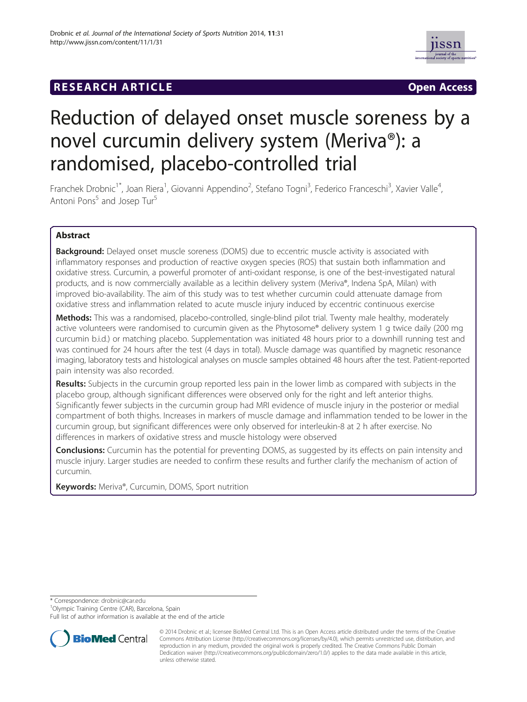# **RESEARCH ARTICLE Example 2014 CONSIDERING CONSIDERING CONSIDERING CONSIDERING CONSIDERING CONSIDERING CONSIDERING CONSIDERING CONSIDERING CONSIDERING CONSIDERING CONSIDERING CONSIDERING CONSIDERING CONSIDERING CONSIDE**



# Reduction of delayed onset muscle soreness by a novel curcumin delivery system (Meriva®): a randomised, placebo-controlled trial

Franchek Drobnic<sup>1\*</sup>, Joan Riera<sup>1</sup>, Giovanni Appendino<sup>2</sup>, Stefano Togni<sup>3</sup>, Federico Franceschi<sup>3</sup>, Xavier Valle<sup>4</sup> , Antoni Pons<sup>5</sup> and Josep Tur<sup>5</sup>

# Abstract

**Background:** Delayed onset muscle soreness (DOMS) due to eccentric muscle activity is associated with inflammatory responses and production of reactive oxygen species (ROS) that sustain both inflammation and oxidative stress. Curcumin, a powerful promoter of anti-oxidant response, is one of the best-investigated natural products, and is now commercially available as a lecithin delivery system (Meriva®, Indena SpA, Milan) with improved bio-availability. The aim of this study was to test whether curcumin could attenuate damage from oxidative stress and inflammation related to acute muscle injury induced by eccentric continuous exercise

Methods: This was a randomised, placebo-controlled, single-blind pilot trial. Twenty male healthy, moderately active volunteers were randomised to curcumin given as the Phytosome® delivery system 1 g twice daily (200 mg curcumin b.i.d.) or matching placebo. Supplementation was initiated 48 hours prior to a downhill running test and was continued for 24 hours after the test (4 days in total). Muscle damage was quantified by magnetic resonance imaging, laboratory tests and histological analyses on muscle samples obtained 48 hours after the test. Patient-reported pain intensity was also recorded.

Results: Subjects in the curcumin group reported less pain in the lower limb as compared with subjects in the placebo group, although significant differences were observed only for the right and left anterior thighs. Significantly fewer subjects in the curcumin group had MRI evidence of muscle injury in the posterior or medial compartment of both thighs. Increases in markers of muscle damage and inflammation tended to be lower in the curcumin group, but significant differences were only observed for interleukin-8 at 2 h after exercise. No differences in markers of oxidative stress and muscle histology were observed

**Conclusions:** Curcumin has the potential for preventing DOMS, as suggested by its effects on pain intensity and muscle injury. Larger studies are needed to confirm these results and further clarify the mechanism of action of curcumin.

Keywords: Meriva®, Curcumin, DOMS, Sport nutrition

\* Correspondence: [drobnic@car.edu](mailto:drobnic@car.edu) <sup>1</sup>

<sup>1</sup>Olympic Training Centre (CAR), Barcelona, Spain

Full list of author information is available at the end of the article



<sup>© 2014</sup> Drobnic et al.; licensee BioMed Central Ltd. This is an Open Access article distributed under the terms of the Creative Commons Attribution License [\(http://creativecommons.org/licenses/by/4.0\)](http://creativecommons.org/licenses/by/4.0), which permits unrestricted use, distribution, and reproduction in any medium, provided the original work is properly credited. The Creative Commons Public Domain Dedication waiver [\(http://creativecommons.org/publicdomain/zero/1.0/](http://creativecommons.org/publicdomain/zero/1.0/)) applies to the data made available in this article, unless otherwise stated.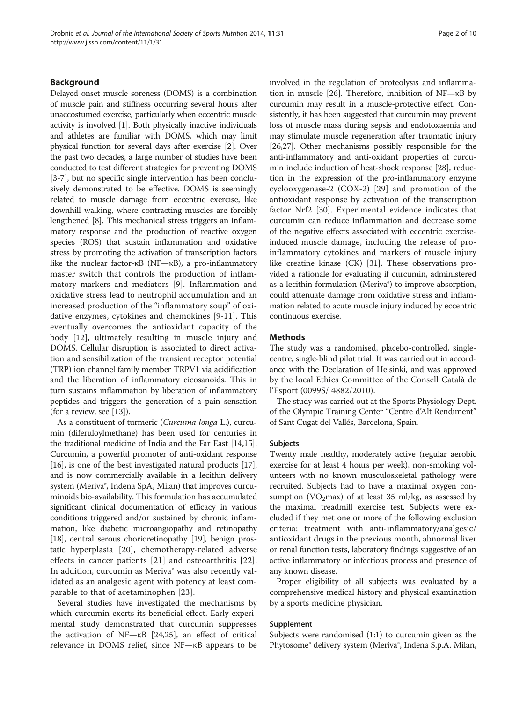#### Background

Delayed onset muscle soreness (DOMS) is a combination of muscle pain and stiffness occurring several hours after unaccostumed exercise, particularly when eccentric muscle activity is involved [\[1\]](#page-7-0). Both physically inactive individuals and athletes are familiar with DOMS, which may limit physical function for several days after exercise [\[2\]](#page-7-0). Over the past two decades, a large number of studies have been conducted to test different strategies for preventing DOMS [[3-](#page-7-0)[7\]](#page-8-0), but no specific single intervention has been conclusively demonstrated to be effective. DOMS is seemingly related to muscle damage from eccentric exercise, like downhill walking, where contracting muscles are forcibly lengthened [\[8\]](#page-8-0). This mechanical stress triggers an inflammatory response and the production of reactive oxygen species (ROS) that sustain inflammation and oxidative stress by promoting the activation of transcription factors like the nuclear factor-κB (NF—κB), a pro-inflammatory master switch that controls the production of inflammatory markers and mediators [[9\]](#page-8-0). Inflammation and oxidative stress lead to neutrophil accumulation and an increased production of the "inflammatory soup" of oxidative enzymes, cytokines and chemokines [\[9](#page-8-0)-[11](#page-8-0)]. This eventually overcomes the antioxidant capacity of the body [[12\]](#page-8-0), ultimately resulting in muscle injury and DOMS. Cellular disruption is associated to direct activation and sensibilization of the transient receptor potential (TRP) ion channel family member TRPV1 via acidification and the liberation of inflammatory eicosanoids. This in turn sustains inflammation by liberation of inflammatory peptides and triggers the generation of a pain sensation (for a review, see [\[13\]](#page-8-0)).

As a constituent of turmeric (Curcuma longa L.), curcumin (diferuloylmethane) has been used for centuries in the traditional medicine of India and the Far East [\[14,15](#page-8-0)]. Curcumin, a powerful promoter of anti-oxidant response [[16](#page-8-0)], is one of the best investigated natural products [[17](#page-8-0)], and is now commercially available in a lecithin delivery system (Meriva®, Indena SpA, Milan) that improves curcuminoids bio-availability. This formulation has accumulated significant clinical documentation of efficacy in various conditions triggered and/or sustained by chronic inflammation, like diabetic microangiopathy and retinopathy [[18](#page-8-0)], central serous chorioretinopathy [\[19\]](#page-8-0), benign prostatic hyperplasia [[20\]](#page-8-0), chemotherapy-related adverse effects in cancer patients [[21\]](#page-8-0) and osteoarthritis [[22](#page-8-0)]. In addition, curcumin as Meriva® was also recently validated as an analgesic agent with potency at least comparable to that of acetaminophen [[23\]](#page-8-0).

Several studies have investigated the mechanisms by which curcumin exerts its beneficial effect. Early experimental study demonstrated that curcumin suppresses the activation of  $NF-\kappa B$  [\[24,25\]](#page-8-0), an effect of critical relevance in DOMS relief, since NF—κB appears to be involved in the regulation of proteolysis and inflammation in muscle [\[26](#page-8-0)]. Therefore, inhibition of NF—κB by curcumin may result in a muscle-protective effect. Consistently, it has been suggested that curcumin may prevent loss of muscle mass during sepsis and endotoxaemia and may stimulate muscle regeneration after traumatic injury [[26,27](#page-8-0)]. Other mechanisms possibly responsible for the anti-inflammatory and anti-oxidant properties of curcumin include induction of heat-shock response [[28\]](#page-8-0), reduction in the expression of the pro-inflammatory enzyme cyclooxygenase-2 (COX-2) [[29\]](#page-8-0) and promotion of the antioxidant response by activation of the transcription factor Nrf2 [\[30](#page-8-0)]. Experimental evidence indicates that curcumin can reduce inflammation and decrease some of the negative effects associated with eccentric exerciseinduced muscle damage, including the release of proinflammatory cytokines and markers of muscle injury like creatine kinase (CK) [[31](#page-8-0)]. These observations provided a rationale for evaluating if curcumin, administered as a lecithin formulation (Meriva®) to improve absorption, could attenuate damage from oxidative stress and inflammation related to acute muscle injury induced by eccentric continuous exercise.

#### **Methods**

The study was a randomised, placebo-controlled, singlecentre, single-blind pilot trial. It was carried out in accordance with the Declaration of Helsinki, and was approved by the local Ethics Committee of the Consell Català de l'Esport (0099S/ 4882/2010).

The study was carried out at the Sports Physiology Dept. of the Olympic Training Center "Centre d'Alt Rendiment" of Sant Cugat del Vallés, Barcelona, Spain.

#### Subjects

Twenty male healthy, moderately active (regular aerobic exercise for at least 4 hours per week), non-smoking volunteers with no known musculoskeletal pathology were recruited. Subjects had to have a maximal oxygen consumption (VO<sub>2</sub>max) of at least 35 ml/kg, as assessed by the maximal treadmill exercise test. Subjects were excluded if they met one or more of the following exclusion criteria: treatment with anti-inflammatory/analgesic/ antioxidant drugs in the previous month, abnormal liver or renal function tests, laboratory findings suggestive of an active inflammatory or infectious process and presence of any known disease.

Proper eligibility of all subjects was evaluated by a comprehensive medical history and physical examination by a sports medicine physician.

#### Supplement

Subjects were randomised (1:1) to curcumin given as the Phytosome® delivery system (Meriva®, Indena S.p.A. Milan,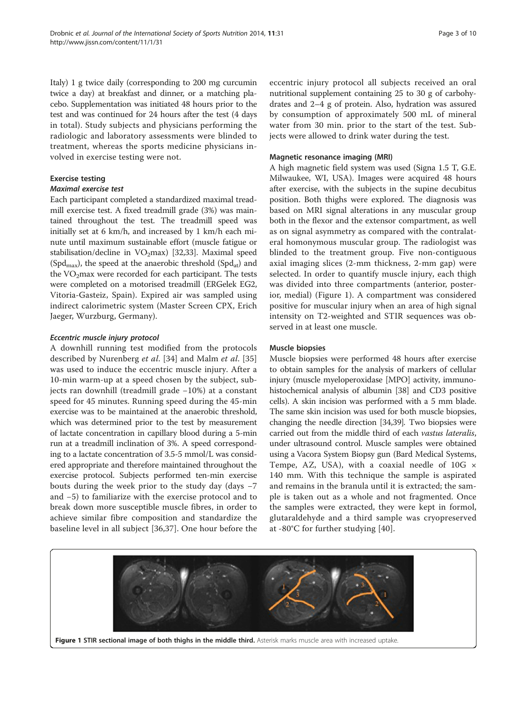Italy) 1 g twice daily (corresponding to 200 mg curcumin twice a day) at breakfast and dinner, or a matching placebo. Supplementation was initiated 48 hours prior to the test and was continued for 24 hours after the test (4 days in total). Study subjects and physicians performing the radiologic and laboratory assessments were blinded to treatment, whereas the sports medicine physicians involved in exercise testing were not.

#### Exercise testing

#### Maximal exercise test

Each participant completed a standardized maximal treadmill exercise test. A fixed treadmill grade (3%) was maintained throughout the test. The treadmill speed was initially set at 6 km/h, and increased by 1 km/h each minute until maximum sustainable effort (muscle fatigue or stabilisation/decline in  $VO<sub>2</sub>max$ ) [[32,33\]](#page-8-0). Maximal speed (Spd<sub>max</sub>), the speed at the anaerobic threshold (Spd<sub>at</sub>) and the  $VO<sub>2</sub>max$  were recorded for each participant. The tests were completed on a motorised treadmill (ERGelek EG2, Vitoria-Gasteiz, Spain). Expired air was sampled using indirect calorimetric system (Master Screen CPX, Erich Jaeger, Wurzburg, Germany).

# Eccentric muscle injury protocol

A downhill running test modified from the protocols described by Nurenberg et al. [[34\]](#page-8-0) and Malm et al. [\[35](#page-8-0)] was used to induce the eccentric muscle injury. After a 10-min warm-up at a speed chosen by the subject, subjects ran downhill (treadmill grade −10%) at a constant speed for 45 minutes. Running speed during the 45-min exercise was to be maintained at the anaerobic threshold, which was determined prior to the test by measurement of lactate concentration in capillary blood during a 5-min run at a treadmill inclination of 3%. A speed corresponding to a lactate concentration of 3.5-5 mmol/L was considered appropriate and therefore maintained throughout the exercise protocol. Subjects performed ten-min exercise bouts during the week prior to the study day (days −7 and −5) to familiarize with the exercise protocol and to break down more susceptible muscle fibres, in order to achieve similar fibre composition and standardize the baseline level in all subject [\[36](#page-8-0),[37\]](#page-8-0). One hour before the

eccentric injury protocol all subjects received an oral nutritional supplement containing 25 to 30 g of carbohydrates and 2–4 g of protein. Also, hydration was assured by consumption of approximately 500 mL of mineral water from 30 min. prior to the start of the test. Subjects were allowed to drink water during the test.

#### Magnetic resonance imaging (MRI)

A high magnetic field system was used (Signa 1.5 T, G.E. Milwaukee, WI, USA). Images were acquired 48 hours after exercise, with the subjects in the supine decubitus position. Both thighs were explored. The diagnosis was based on MRI signal alterations in any muscular group both in the flexor and the extensor compartment, as well as on signal asymmetry as compared with the contralateral homonymous muscular group. The radiologist was blinded to the treatment group. Five non-contiguous axial imaging slices (2-mm thickness, 2-mm gap) were selected. In order to quantify muscle injury, each thigh was divided into three compartments (anterior, posterior, medial) (Figure 1). A compartment was considered positive for muscular injury when an area of high signal intensity on T2-weighted and STIR sequences was observed in at least one muscle.

#### Muscle biopsies

Muscle biopsies were performed 48 hours after exercise to obtain samples for the analysis of markers of cellular injury (muscle myeloperoxidase [MPO] activity, immunohistochemical analysis of albumin [\[38\]](#page-8-0) and CD3 positive cells). A skin incision was performed with a 5 mm blade. The same skin incision was used for both muscle biopsies, changing the needle direction [\[34,39\]](#page-8-0). Two biopsies were carried out from the middle third of each vastus lateralis, under ultrasound control. Muscle samples were obtained using a Vacora System Biopsy gun (Bard Medical Systems, Tempe, AZ, USA), with a coaxial needle of  $10G \times$ 140 mm. With this technique the sample is aspirated and remains in the branula until it is extracted; the sample is taken out as a whole and not fragmented. Once the samples were extracted, they were kept in formol, glutaraldehyde and a third sample was cryopreserved at -80°C for further studying [[40](#page-8-0)].

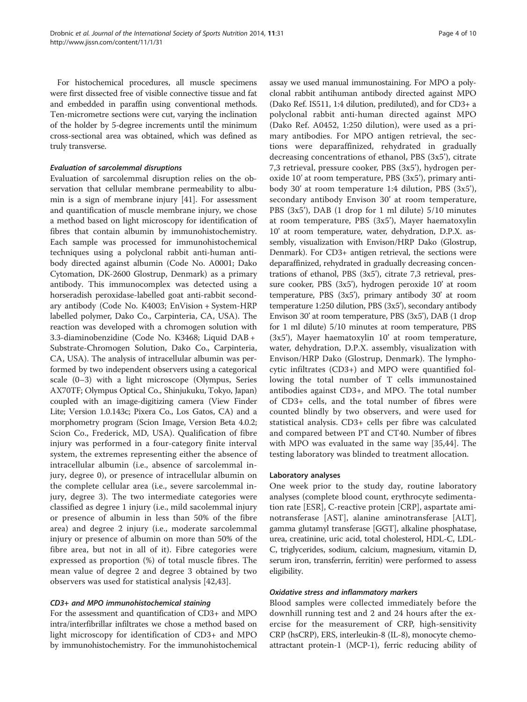For histochemical procedures, all muscle specimens were first dissected free of visible connective tissue and fat and embedded in paraffin using conventional methods. Ten-micrometre sections were cut, varying the inclination of the holder by 5-degree increments until the minimum cross-sectional area was obtained, which was defined as truly transverse.

#### Evaluation of sarcolemmal disruptions

Evaluation of sarcolemmal disruption relies on the observation that cellular membrane permeability to albumin is a sign of membrane injury [[41\]](#page-8-0). For assessment and quantification of muscle membrane injury, we chose a method based on light microscopy for identification of fibres that contain albumin by immunohistochemistry. Each sample was processed for immunohistochemical techniques using a polyclonal rabbit anti-human antibody directed against albumin (Code No. A0001; Dako Cytomation, DK-2600 Glostrup, Denmark) as a primary antibody. This immunocomplex was detected using a horseradish peroxidase-labelled goat anti-rabbit secondary antibody (Code No. K4003; EnVision + System-HRP labelled polymer, Dako Co., Carpinteria, CA, USA). The reaction was developed with a chromogen solution with 3.3-diaminobenzidine (Code No. K3468; Liquid DAB + Substrate-Chromogen Solution, Dako Co., Carpinteria, CA, USA). The analysis of intracellular albumin was performed by two independent observers using a categorical scale (0–3) with a light microscope (Olympus, Series AX70TF; Olympus Optical Co., Shinjukuku, Tokyo, Japan) coupled with an image-digitizing camera (View Finder Lite; Version 1.0.143c; Pixera Co., Los Gatos, CA) and a morphometry program (Scion Image, Version Beta 4.0.2; Scion Co., Frederick, MD, USA). Qualification of fibre injury was performed in a four-category finite interval system, the extremes representing either the absence of intracellular albumin (i.e., absence of sarcolemmal injury, degree 0), or presence of intracellular albumin on the complete cellular area (i.e., severe sarcolemmal injury, degree 3). The two intermediate categories were classified as degree 1 injury (i.e., mild sacolemmal injury or presence of albumin in less than 50% of the fibre area) and degree 2 injury (i.e., moderate sarcolemmal injury or presence of albumin on more than 50% of the fibre area, but not in all of it). Fibre categories were expressed as proportion (%) of total muscle fibres. The mean value of degree 2 and degree 3 obtained by two observers was used for statistical analysis [\[42,43](#page-8-0)].

# CD3+ and MPO immunohistochemical staining

For the assessment and quantification of CD3+ and MPO intra/interfibrillar infiltrates we chose a method based on light microscopy for identification of CD3+ and MPO by immunohistochemistry. For the immunohistochemical

assay we used manual immunostaining. For MPO a polyclonal rabbit antihuman antibody directed against MPO (Dako Ref. IS511, 1:4 dilution, prediluted), and for CD3+ a polyclonal rabbit anti-human directed against MPO (Dako Ref. A0452, 1:250 dilution), were used as a primary antibodies. For MPO antigen retrieval, the sections were deparaffinized, rehydrated in gradually decreasing concentrations of ethanol, PBS (3x5'), citrate 7,3 retrieval, pressure cooker, PBS (3x5'), hydrogen peroxide 10' at room temperature, PBS (3x5'), primary antibody 30' at room temperature 1:4 dilution, PBS (3x5'), secondary antibody Envison 30' at room temperature, PBS (3x5'), DAB (1 drop for 1 ml dilute) 5/10 minutes at room temperature, PBS (3x5'), Mayer haematoxylin 10' at room temperature, water, dehydration, D.P.X. assembly, visualization with Envison/HRP Dako (Glostrup, Denmark). For CD3+ antigen retrieval, the sections were deparaffinized, rehydrated in gradually decreasing concentrations of ethanol, PBS (3x5'), citrate 7,3 retrieval, pressure cooker, PBS (3x5'), hydrogen peroxide 10' at room temperature, PBS (3x5'), primary antibody 30' at room temperature 1:250 dilution, PBS (3x5'), secondary antibody Envison 30' at room temperature, PBS (3x5'), DAB (1 drop for 1 ml dilute) 5/10 minutes at room temperature, PBS (3x5'), Mayer haematoxylin 10' at room temperature, water, dehydration, D.P.X. assembly, visualization with Envison/HRP Dako (Glostrup, Denmark). The lymphocytic infiltrates (CD3+) and MPO were quantified following the total number of T cells immunostained antibodies against CD3+, and MPO. The total number of CD3+ cells, and the total number of fibres were counted blindly by two observers, and were used for statistical analysis. CD3+ cells per fibre was calculated and compared between PT and CT40. Number of fibres with MPO was evaluated in the same way [[35,44](#page-8-0)]. The testing laboratory was blinded to treatment allocation.

#### Laboratory analyses

One week prior to the study day, routine laboratory analyses (complete blood count, erythrocyte sedimentation rate [ESR], C-reactive protein [CRP], aspartate aminotransferase [AST], alanine aminotransferase [ALT], gamma glutamyl transferase [GGT], alkaline phosphatase, urea, creatinine, uric acid, total cholesterol, HDL-C, LDL-C, triglycerides, sodium, calcium, magnesium, vitamin D, serum iron, transferrin, ferritin) were performed to assess eligibility.

# Oxidative stress and inflammatory markers

Blood samples were collected immediately before the downhill running test and 2 and 24 hours after the exercise for the measurement of CRP, high-sensitivity CRP (hsCRP), ERS, interleukin-8 (IL-8), monocyte chemoattractant protein-1 (MCP-1), ferric reducing ability of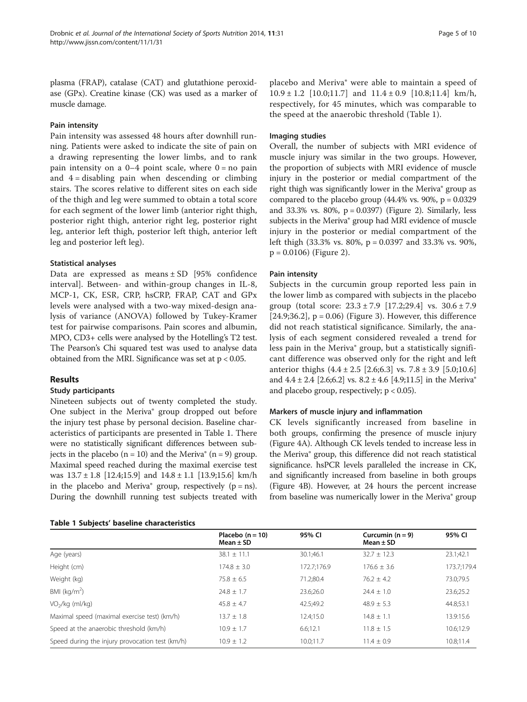plasma (FRAP), catalase (CAT) and glutathione peroxidase (GPx). Creatine kinase (CK) was used as a marker of muscle damage.

#### Pain intensity

Pain intensity was assessed 48 hours after downhill running. Patients were asked to indicate the site of pain on a drawing representing the lower limbs, and to rank pain intensity on a  $0-4$  point scale, where  $0 =$  no pain and  $4 =$  disabling pain when descending or climbing stairs. The scores relative to different sites on each side of the thigh and leg were summed to obtain a total score for each segment of the lower limb (anterior right thigh, posterior right thigh, anterior right leg, posterior right leg, anterior left thigh, posterior left thigh, anterior left leg and posterior left leg).

# Statistical analyses

Data are expressed as means ± SD [95% confidence interval]. Between- and within-group changes in IL-8, MCP-1, CK, ESR, CRP, hsCRP, FRAP, CAT and GPx levels were analysed with a two-way mixed-design analysis of variance (ANOVA) followed by Tukey-Kramer test for pairwise comparisons. Pain scores and albumin, MPO, CD3+ cells were analysed by the Hotelling's T2 test. The Pearson's Chi squared test was used to analyse data obtained from the MRI. Significance was set at  $p < 0.05$ .

# Results

# Study participants

Nineteen subjects out of twenty completed the study. One subject in the Meriva® group dropped out before the injury test phase by personal decision. Baseline characteristics of participants are presented in Table 1. There were no statistically significant differences between subjects in the placebo ( $n = 10$ ) and the Meriva® ( $n = 9$ ) group. Maximal speed reached during the maximal exercise test was 13.7 ± 1.8 [12.4;15.9] and 14.8 ± 1.1 [13.9;15.6] km/h in the placebo and Meriva<sup>®</sup> group, respectively ( $p = ns$ ). During the downhill running test subjects treated with

placebo and Meriva® were able to maintain a speed of  $10.9 \pm 1.2$  [10.0;11.7] and  $11.4 \pm 0.9$  [10.8;11.4] km/h, respectively, for 45 minutes, which was comparable to the speed at the anaerobic threshold (Table 1).

#### Imaging studies

Overall, the number of subjects with MRI evidence of muscle injury was similar in the two groups. However, the proportion of subjects with MRI evidence of muscle injury in the posterior or medial compartment of the right thigh was significantly lower in the Meriva® group as compared to the placebo group  $(44.4\% \text{ vs. } 90\%, \text{ p} = 0.0329)$ and 33.3% vs. 80%, p = 0.0397) (Figure [2\)](#page-5-0). Similarly, less subjects in the Meriva® group had MRI evidence of muscle injury in the posterior or medial compartment of the left thigh (33.3% vs. 80%, p = 0.0397 and 33.3% vs. 90%,  $p = 0.0106$ ) (Figure [2](#page-5-0)).

#### Pain intensity

Subjects in the curcumin group reported less pain in the lower limb as compared with subjects in the placebo group (total score:  $23.3 \pm 7.9$  [17.2;29.4] vs.  $30.6 \pm 7.9$  $[24.9;36.2]$ ,  $p = 0.06$ ) (Figure [3](#page-5-0)). However, this difference did not reach statistical significance. Similarly, the analysis of each segment considered revealed a trend for less pain in the Meriva® group, but a statistically significant difference was observed only for the right and left anterior thighs  $(4.4 \pm 2.5 \, [2.6; 6.3] \, \text{vs.} \, 7.8 \pm 3.9 \, [5.0; 10.6]$ and  $4.4 \pm 2.4$  [2.6;6.2] vs.  $8.2 \pm 4.6$  [4.9;11.5] in the Meriva® and placebo group, respectively;  $p < 0.05$ ).

# Markers of muscle injury and inflammation

CK levels significantly increased from baseline in both groups, confirming the presence of muscle injury (Figure [4A](#page-6-0)). Although CK levels tended to increase less in the Meriva® group, this difference did not reach statistical significance. hsPCR levels paralleled the increase in CK, and significantly increased from baseline in both groups (Figure [4B](#page-6-0)). However, at 24 hours the percent increase from baseline was numerically lower in the Meriva® group

|                                                 | Placebo $(n = 10)$ | 95% CI      | Curcumin $(n = 9)$ | 95% CI      |
|-------------------------------------------------|--------------------|-------------|--------------------|-------------|
|                                                 | Mean $\pm$ SD      |             | Mean $\pm$ SD      |             |
| Age (years)                                     | $38.1 \pm 11.1$    | 30.1;46.1   | $32.7 \pm 12.3$    | 23.1;42.1   |
| Height (cm)                                     | $174.8 \pm 3.0$    | 172.7:176.9 | $176.6 \pm 3.6$    | 173.7;179.4 |
| Weight (kg)                                     | $75.8 + 6.5$       | 71.2:80.4   | $76.2 + 4.2$       | 73.0;79.5   |
| BMI ( $kg/m2$ )                                 | $74.8 + 1.7$       | 23.6:26.0   | $74.4 + 1.0$       | 23.6;25.2   |
| $VO2/kq$ (ml/kg)                                | $45.8 \pm 4.7$     | 42.5;49.2   | $48.9 + 5.3$       | 44.8;53.1   |
| Maximal speed (maximal exercise test) (km/h)    | $13.7 \pm 1.8$     | 12.4:15.0   | $14.8 \pm 1.1$     | 13.9:15.6   |
| Speed at the anaerobic threshold (km/h)         | $10.9 \pm 1.7$     | 6.6:12.1    | $11.8 \pm 1.5$     | 10.6:12.9   |
| Speed during the injury provocation test (km/h) | $10.9 \pm 1.2$     | 10.0:11.7   | $11.4 \pm 0.9$     | 10.8;11.4   |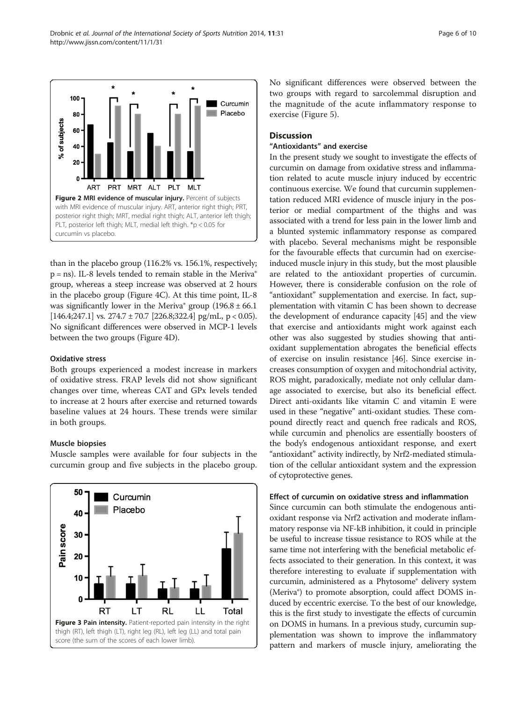<span id="page-5-0"></span>

than in the placebo group (116.2% vs. 156.1%, respectively;  $p =$ ns). IL-8 levels tended to remain stable in the Meriva® group, whereas a steep increase was observed at 2 hours in the placebo group (Figure [4](#page-6-0)C). At this time point, IL-8 was significantly lower in the Meriva® group  $(196.8 \pm 66.1)$ [ $146.4;247.1$ ] vs.  $274.7 \pm 70.7$  [ $226.8;322.4$ ] pg/mL, p < 0.05). No significant differences were observed in MCP-1 levels between the two groups (Figure [4D](#page-6-0)).

#### Oxidative stress

Both groups experienced a modest increase in markers of oxidative stress. FRAP levels did not show significant changes over time, whereas CAT and GPx levels tended to increase at 2 hours after exercise and returned towards baseline values at 24 hours. These trends were similar in both groups.

#### Muscle biopsies

Muscle samples were available for four subjects in the curcumin group and five subjects in the placebo group.



No significant differences were observed between the two groups with regard to sarcolemmal disruption and the magnitude of the acute inflammatory response to exercise (Figure [5\)](#page-6-0).

#### **Discussion**

# "Antioxidants" and exercise

In the present study we sought to investigate the effects of curcumin on damage from oxidative stress and inflammation related to acute muscle injury induced by eccentric continuous exercise. We found that curcumin supplementation reduced MRI evidence of muscle injury in the posterior or medial compartment of the thighs and was associated with a trend for less pain in the lower limb and a blunted systemic inflammatory response as compared with placebo. Several mechanisms might be responsible for the favourable effects that curcumin had on exerciseinduced muscle injury in this study, but the most plausible are related to the antioxidant properties of curcumin. However, there is considerable confusion on the role of "antioxidant" supplementation and exercise. In fact, supplementation with vitamin C has been shown to decrease the development of endurance capacity [\[45](#page-8-0)] and the view that exercise and antioxidants might work against each other was also suggested by studies showing that antioxidant supplementation abrogates the beneficial effects of exercise on insulin resistance [\[46\]](#page-8-0). Since exercise increases consumption of oxygen and mitochondrial activity, ROS might, paradoxically, mediate not only cellular damage associated to exercise, but also its beneficial effect. Direct anti-oxidants like vitamin C and vitamin E were used in these "negative" anti-oxidant studies. These compound directly react and quench free radicals and ROS, while curcumin and phenolics are essentially boosters of the body's endogenous antioxidant response, and exert "antioxidant" activity indirectly, by Nrf2-mediated stimulation of the cellular antioxidant system and the expression of cytoprotective genes.

# Effect of curcumin on oxidative stress and inflammation

Since curcumin can both stimulate the endogenous antioxidant response via Nrf2 activation and moderate inflammatory response via NF-kB inhibition, it could in principle be useful to increase tissue resistance to ROS while at the same time not interfering with the beneficial metabolic effects associated to their generation. In this context, it was therefore interesting to evaluate if supplementation with curcumin, administered as a Phytosome® delivery system (Meriva®) to promote absorption, could affect DOMS induced by eccentric exercise. To the best of our knowledge, this is the first study to investigate the effects of curcumin on DOMS in humans. In a previous study, curcumin supplementation was shown to improve the inflammatory pattern and markers of muscle injury, ameliorating the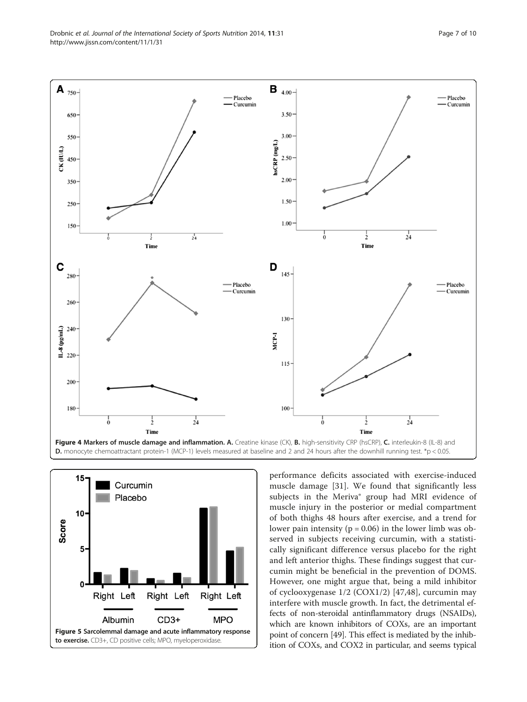<span id="page-6-0"></span>Drobnic et al. Journal of the International Society of Sports Nutrition 2014, 11:31 Page 7 of 10 http://www.jissn.com/content/11/1/31





performance deficits associated with exercise-induced muscle damage [[31\]](#page-8-0). We found that significantly less subjects in the Meriva® group had MRI evidence of muscle injury in the posterior or medial compartment of both thighs 48 hours after exercise, and a trend for lower pain intensity ( $p = 0.06$ ) in the lower limb was observed in subjects receiving curcumin, with a statistically significant difference versus placebo for the right and left anterior thighs. These findings suggest that curcumin might be beneficial in the prevention of DOMS. However, one might argue that, being a mild inhibitor of cyclooxygenase 1/2 (COX1/2) [\[47](#page-8-0),[48\]](#page-8-0), curcumin may interfere with muscle growth. In fact, the detrimental effects of non-steroidal antinflammatory drugs (NSAIDs), which are known inhibitors of COXs, are an important point of concern [[49](#page-9-0)]. This effect is mediated by the inhibition of COXs, and COX2 in particular, and seems typical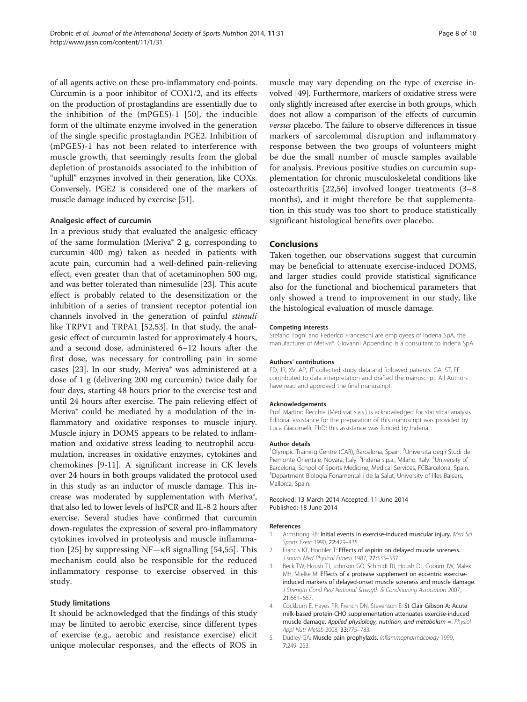<span id="page-7-0"></span>of all agents active on these pro-inflammatory end-points. Curcumin is a poor inhibitor of COX1/2, and its effects on the production of prostaglandins are essentially due to the inhibition of the (mPGES)-1 [[50\]](#page-9-0), the inducible form of the ultimate enzyme involved in the generation of the single specific prostaglandin PGE2. Inhibition of (mPGES)-1 has not been related to interference with muscle growth, that seemingly results from the global depletion of prostanoids associated to the inhibition of "uphill" enzymes involved in their generation, like COXs. Conversely, PGE2 is considered one of the markers of muscle damage induced by exercise [\[51](#page-9-0)].

#### Analgesic effect of curcumin

In a previous study that evaluated the analgesic efficacy of the same formulation (Meriva® 2 g, corresponding to curcumin 400 mg) taken as needed in patients with acute pain, curcumin had a well-defined pain-relieving effect, even greater than that of acetaminophen 500 mg, and was better tolerated than nimesulide [[23\]](#page-8-0). This acute effect is probably related to the desensitization or the inhibition of a series of transient receptor potential ion channels involved in the generation of painful stimuli like TRPV1 and TRPA1 [[52,53\]](#page-9-0). In that study, the analgesic effect of curcumin lasted for approximately 4 hours, and a second dose, administered 6–12 hours after the first dose, was necessary for controlling pain in some cases [[23\]](#page-8-0). In our study, Meriva® was administered at a dose of 1 g (delivering 200 mg curcumin) twice daily for four days, starting 48 hours prior to the exercise test and until 24 hours after exercise. The pain relieving effect of Meriva® could be mediated by a modulation of the inflammatory and oxidative responses to muscle injury. Muscle injury in DOMS appears to be related to inflammation and oxidative stress leading to neutrophil accumulation, increases in oxidative enzymes, cytokines and chemokines [\[9-11](#page-8-0)]. A significant increase in CK levels over 24 hours in both groups validated the protocol used in this study as an inductor of muscle damage. This increase was moderated by supplementation with Meriva®, that also led to lower levels of hsPCR and IL-8 2 hours after exercise. Several studies have confirmed that curcumin down-regulates the expression of several pro-inflammatory cytokines involved in proteolysis and muscle inflamma-tion [\[25\]](#page-8-0) by suppressing  $NF-\kappa B$  signalling [\[54](#page-9-0),[55\]](#page-9-0). This mechanism could also be responsible for the reduced inflammatory response to exercise observed in this study.

# Study limitations

It should be acknowledged that the findings of this study may be limited to aerobic exercise, since different types of exercise (e.g., aerobic and resistance exercise) elicit unique molecular responses, and the effects of ROS in

muscle may vary depending on the type of exercise involved [\[49](#page-9-0)]. Furthermore, markers of oxidative stress were only slightly increased after exercise in both groups, which does not allow a comparison of the effects of curcumin versus placebo. The failure to observe differences in tissue markers of sarcolemmal disruption and inflammatory response between the two groups of volunteers might be due the small number of muscle samples available for analysis. Previous positive studies on curcumin supplementation for chronic musculoskeletal conditions like osteoarthritis [[22](#page-8-0)[,56](#page-9-0)] involved longer treatments (3–8 months), and it might therefore be that supplementation in this study was too short to produce statistically significant histological benefits over placebo.

# Conclusions

Taken together, our observations suggest that curcumin may be beneficial to attenuate exercise-induced DOMS, and larger studies could provide statistical significance also for the functional and biochemical parameters that only showed a trend to improvement in our study, like the histological evaluation of muscle damage.

#### Competing interests

Stefano Togni and Federico Franceschi are employees of Indena SpA, the manufacturer of Meriva®. Giovanni Appendino is a consultant to Indena SpA.

#### Authors' contributions

FD, JR, XV, AP, JT collected study data and followed patients. GA, ST, FF contributed to data interpretation and drafted the manuscript. All Authors have read and approved the final manuscript.

#### Acknowledgements

Prof. Martino Recchia (Medistat s.a.s.) is acknowledged for statistical analysis. Editorial assistance for the preparation of this manuscript was provided by Luca Giacomelli, PhD; this assistance was funded by Indena.

#### Author details

<sup>1</sup>Olympic Training Centre (CAR), Barcelona, Spain. <sup>2</sup>Università degli Studi del Piemonte Orientale, Novara, Italy. <sup>3</sup>Indena s.p.a., Milano, Italy. <sup>4</sup>University of Barcelona, School of Sports Medicine, Medical Services, FCBarcelona, Spain. 5 Department Biologia Fonamental i de la Salut, University of Illes Balears, Mallorca, Spain.

#### Received: 13 March 2014 Accepted: 11 June 2014 Published: 18 June 2014

#### References

- 1. Armstrong RB: Initial events in exercise-induced muscular injury. Med Sci Sports Exerc 1990, 22:429-435.
- 2. Francis KT, Hoobler T: Effects of aspirin on delayed muscle soreness. J sports Med Physical Fitness 1987, 27:333–337.
- 3. Beck TW, Housh TJ, Johnson GO, Schmidt RJ, Housh DJ, Coburn JW, Malek MH, Mielke M: Effects of a protease supplement on eccentric exerciseinduced markers of delayed-onset muscle soreness and muscle damage. J Strength Cond Res/ National Strength & Conditioning Association 2007, 21:661–667.
- 4. Cockburn E, Hayes PR, French DN, Stevenson E: St Clair Gibson A: Acute milk-based protein-CHO supplementation attenuates exercise-induced muscle damage. Applied physiology, nutrition, and metabolism =. Physiol Appl Nutr Metab 2008, 33:775–783.
- 5. Dudley GA: Muscle pain prophylaxis. Inflammopharmacology 1999, 7:249–253.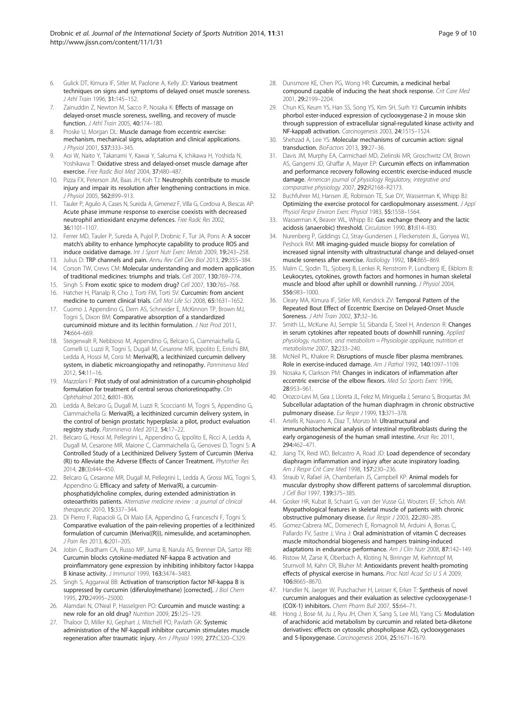- <span id="page-8-0"></span>Gulick DT, Kimura IF, Sitler M, Paolone A, Kelly JD: Various treatment techniques on signs and symptoms of delayed onset muscle soreness. J Athl Train 1996, 31:145–152.
- 7. Zainuddin Z, Newton M, Sacco P, Nosaka K: Effects of massage on delayed-onset muscle soreness, swelling, and recovery of muscle function. J Athl Train 2005, 40:174–180.
- 8. Proske U, Morgan DL: Muscle damage from eccentric exercise: mechanism, mechanical signs, adaptation and clinical applications. J Physiol 2001, 537:333–345.
- 9. Aoi W, Naito Y, Takanami Y, Kawai Y, Sakuma K, Ichikawa H, Yoshida N, Yoshikawa T: Oxidative stress and delayed-onset muscle damage after exercise. Free Radic Biol Med 2004, 37:480–487.
- 10. Pizza FX, Peterson JM, Baas JH, Koh TJ: Neutrophils contribute to muscle injury and impair its resolution after lengthening contractions in mice. J Physiol 2005, 562:899-913.
- 11. Tauler P, Aguilo A, Cases N, Sureda A, Gimenez F, Villa G, Cordova A, Biescas AP: Acute phase immune response to exercise coexists with decreased neutrophil antioxidant enzyme defences. Free Radic Res 2002, 36:1101–1107.
- 12. Ferrer MD, Tauler P, Sureda A, Pujol P, Drobnic F, Tur JA, Pons A: A soccer match's ability to enhance lymphocyte capability to produce ROS and induce oxidative damage. Int J Sport Nutr Exerc Metab 2009, 19:243-258.
- 13. Julius D: TRP channels and pain. Annu Rev Cell Dev Biol 2013, 29:355-384. 14. Corson TW, Crews CM: Molecular understanding and modern application
- of traditional medicines: triumphs and trials. Cell 2007, 130:769–774.
- 15. Singh S: From exotic spice to modern drug? Cell 2007, 130:765–768.
- 16. Hatcher H, Planalp R, Cho J, Torti FM, Torti SV: Curcumin: from ancient medicine to current clinical trials. Cell Mol Life Sci 2008, 65:1631–1652.
- 17. Cuomo J, Appendino G, Dern AS, Schneider E, McKinnon TP, Brown MJ, Togni S, Dixon BM: Comparative absorption of a standardized curcuminoid mixture and its lecithin formulation. J Nat Prod 2011, 74:664–669.
- 18. Steigerwalt R, Nebbioso M, Appendino G, Belcaro G, Ciammaichella G, Cornelli U, Luzzi R, Togni S, Dugall M, Cesarone MR, Ippolito E, Errichi BM, Ledda A, Hosoi M, Corsi M: Meriva(R), a lecithinized curcumin delivery system, in diabetic microangiopathy and retinopathy. Panminerva Med 2012, 54:11–16.
- 19. Mazzolani F: Pilot study of oral administration of a curcumin-phospholipid formulation for treatment of central serous chorioretinopathy. Clin Ophthalmol 2012, 6:801–806.
- 20. Ledda A, Belcaro G, Dugall M, Luzzi R, Scoccianti M, Togni S, Appendino G, Ciammaichella G: Meriva(R), a lecithinized curcumin delivery system, in the control of benign prostatic hyperplasia: a pilot, product evaluation registry study. Panminerva Med 2012, 54:17–22.
- 21. Belcaro G, Hosoi M, Pellegrini L, Appendino G, Ippolito E, Ricci A, Ledda A, Dugall M, Cesarone MR, Maione C, Ciammaichella G, Genovesi D, Togni S: A Controlled Study of a Lecithinized Delivery System of Curcumin (Meriva (R)) to Alleviate the Adverse Effects of Cancer Treatment. Phytother Res 2014, 28(3):444–450.
- 22. Belcaro G, Cesarone MR, Dugall M, Pellegrini L, Ledda A, Grossi MG, Togni S, Appendino G: Efficacy and safety of Meriva(R), a curcuminphosphatidylcholine complex, during extended administration in osteoarthritis patients. Alternative medicine review : a journal of clinical therapeutic 2010, 15:337–344.
- 23. Di Pierro F, Rapacioli G, Di Maio EA, Appendino G, Franceschi F, Togni S: Comparative evaluation of the pain-relieving properties of a lecithinized formulation of curcumin (Meriva((R))), nimesulide, and acetaminophen. J Pain Res 2013, 6:201–205.
- 24. Jobin C, Bradham CA, Russo MP, Juma B, Narula AS, Brenner DA, Sartor RB: Curcumin blocks cytokine-mediated NF-kappa B activation and proinflammatory gene expression by inhibiting inhibitory factor I-kappa B kinase activity. J Immunol 1999, 163:3474–3483.
- 25. Singh S, Aggarwal BB: Activation of transcription factor NF-kappa B is suppressed by curcumin (diferuloylmethane) [corrected]. J Biol Chem 1995, 270:24995–25000.
- 26. Alamdari N, O'Neal P, Hasselgren PO: Curcumin and muscle wasting: a new role for an old drug? Nutrition 2009, 25:125–129.
- 27. Thaloor D, Miller KJ, Gephart J, Mitchell PO, Pavlath GK: Systemic administration of the NF-kappaB inhibitor curcumin stimulates muscle regeneration after traumatic injury. Am J Physiol 1999, 277:C320–C329.
- 28. Dunsmore KE, Chen PG, Wong HR: Curcumin, a medicinal herbal compound capable of inducing the heat shock response. Crit Care Med 2001, 29:2199–2204.
- 29. Chun KS, Keum YS, Han SS, Song YS, Kim SH, Surh YJ: Curcumin inhibits phorbol ester-induced expression of cyclooxygenase-2 in mouse skin through suppression of extracellular signal-regulated kinase activity and NF-kappaB activation. Carcinogenesis 2003, 24:1515–1524.
- Shehzad A, Lee YS: Molecular mechanisms of curcumin action: signal transduction. BioFactors 2013, 39:27–36.
- 31. Davis JM, Murphy EA, Carmichael MD, Zielinski MR, Groschwitz CM, Brown AS, Gangemi JD, Ghaffar A, Mayer EP: Curcumin effects on inflammation and performance recovery following eccentric exercise-induced muscle damage. American journal of physiology Regulatory, integrative and comparative physiology 2007, 292:R2168–R2173.
- 32. Buchfuhrer MJ, Hansen JE, Robinson TE, Sue DY, Wasserman K, Whipp BJ: Optimizing the exercise protocol for cardiopulmonary assessment. J Appl Physiol Respir Environ Exerc Physiol 1983, 55:1558–1564.
- 33. Wasserman K, Beaver WL, Whipp BJ: Gas exchange theory and the lactic acidosis (anaerobic) threshold. Circulation 1990, 81:II14-II30.
- 34. Nurenberg P, Giddings CJ, Stray-Gundersen J, Fleckenstein JL, Gonyea WJ, Peshock RM: MR imaging-guided muscle biopsy for correlation of increased signal intensity with ultrastructural change and delayed-onset muscle soreness after exercise. Radiology 1992, 184:865–869.
- 35. Malm C, Sjodin TL, Sjoberg B, Lenkei R, Renstrom P, Lundberg IE, Ekblom B: Leukocytes, cytokines, growth factors and hormones in human skeletal muscle and blood after uphill or downhill running. J Physiol 2004, 556:983–1000.
- 36. Cleary MA, Kimura IF, Sitler MR, Kendrick ZV: Temporal Pattern of the Repeated Bout Effect of Eccentric Exercise on Delayed-Onset Muscle Soreness. J Athl Train 2002, 37:32–36.
- 37. Smith LL, McKune AJ, Semple SJ, Sibanda E, Steel H, Anderson R: Changes in serum cytokines after repeated bouts of downhill running. Applied physiology, nutrition, and metabolism = Physiologie appliquee, nutrition et metabolisme 2007, 32:233–240.
- 38. McNeil PL, Khakee R: Disruptions of muscle fiber plasma membranes. Role in exercise-induced damage. Am J Pathol 1992, 140:1097–1109.
- 39. Nosaka K, Clarkson PM: Changes in indicators of inflammation after eccentric exercise of the elbow flexors. Med Sci Sports Exerc 1996, 28:953–961.
- 40. Orozco-Levi M, Gea J, Lloreta JL, Felez M, Minguella J, Serrano S, Broquetas JM: Subcellular adaptation of the human diaphragm in chronic obstructive pulmonary disease. Eur Respir J 1999, 13:371-378.
- 41. Artells R, Navarro A, Diaz T, Monzo M: Ultrastructural and immunohistochemical analysis of intestinal myofibroblasts during the early organogenesis of the human small intestine. Anat Rec 2011, 294:462–471.
- 42. Jiang TX, Reid WD, Belcastro A, Road JD: Load dependence of secondary diaphragm inflammation and injury after acute inspiratory loading. Am J Respir Crit Care Med 1998, 157:230–236.
- 43. Straub V, Rafael JA, Chamberlain JS, Campbell KP: Animal models for muscular dystrophy show different patterns of sarcolemmal disruption. J Cell Biol 1997, 139:375–385.
- 44. Gosker HR, Kubat B, Schaart G, van der Vusse GJ, Wouters EF, Schols AM: Myopathological features in skeletal muscle of patients with chronic obstructive pulmonary disease. Eur Respir J 2003, 22:280–285.
- 45. Gomez-Cabrera MC, Domenech E, Romagnoli M, Arduini A, Borras C, Pallardo FV, Sastre J, Vina J: Oral administration of vitamin C decreases muscle mitochondrial biogenesis and hampers training-induced adaptations in endurance performance. Am J Clin Nutr 2008, 87:142-149.
- 46. Ristow M, Zarse K, Oberbach A, Kloting N, Birringer M, Kiehntopf M, Stumvoll M, Kahn CR, Bluher M: Antioxidants prevent health-promoting effects of physical exercise in humans. Proc Natl Acad Sci U S A 2009, 106:8665–8670.
- 47. Handler N, Jaeger W, Puschacher H, Leisser K, Erker T: Synthesis of novel curcumin analogues and their evaluation as selective cyclooxygenase-1 (COX-1) inhibitors. Chem Pharm Bull 2007, 55:64–71.
- 48. Hong J, Bose M, Ju J, Ryu JH, Chen X, Sang S, Lee MJ, Yang CS: Modulation of arachidonic acid metabolism by curcumin and related beta-diketone derivatives: effects on cytosolic phospholipase A(2), cyclooxygenases and 5-lipoxygenase. Carcinogenesis 2004, 25:1671–1679.